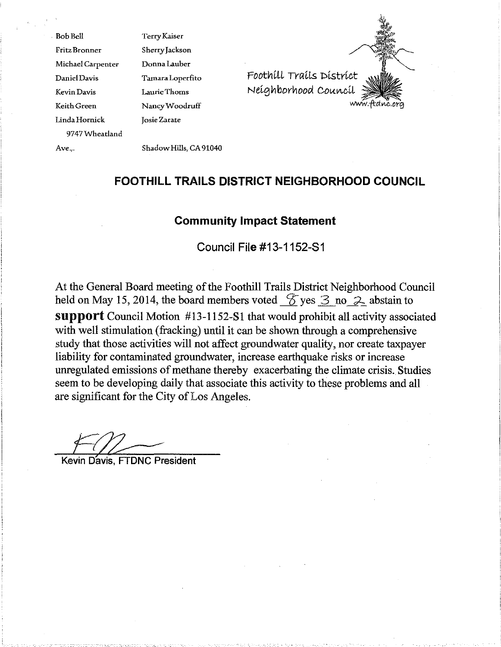BobBell Fritz Bronner MichaelCarpenter DanielDavis Kevin Davis Keith Green LindaHornick 9747Wheatland TerryKaiser SherryJackson DonnaLauber TamaraLoperfito LaurieThoms NancyWoodruff Josie Zarate



Ave...

ShadowHills, CA91040

# **FOOTHILL TRAILS DISTRICT NEIGHBORHOOD COUNCIL**

# **Community Impact Statement**

**Council File #13-1152-S1**

At the General Board meeting of the Foothill Trails District Neighborhood Council held on May 15, 2014, the board members voted  $\mathscr$  yes  $\mathscr$  3 no  $\mathscr$  abstain to Support Council Motion #13-1152-SI that would prohibit all activity associated with well stimulation (fracking) until it can be shown through a comprehensive study that those activities will not affect groundwater quality, nor create taxpayer liability for contaminated groundwater, increase earthquake risks or increase unregulated emissions of methane thereby exacerbating the climate crisis. Studies seem to be developing daily that associate this activity to these problems and all are significant for the City of Los Angeles.

Kevin Davis, FTDNC President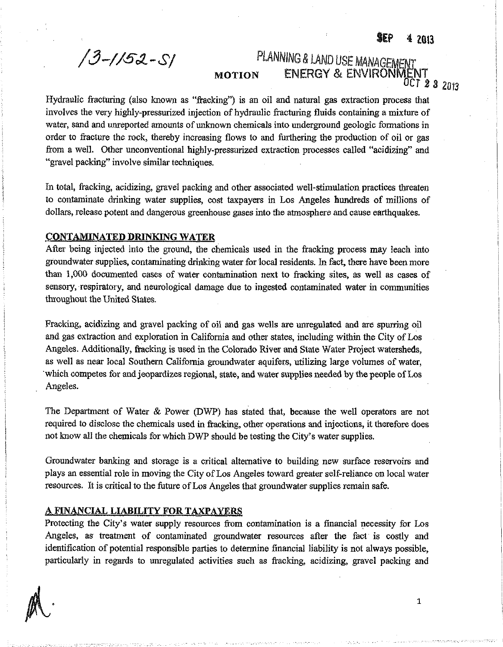**\$£p 4 2Q13**

**°cr** *1* **3 20f3**

1

**ENERGY & ENVIRONIV** 

*/3-//S&.-Sf* PLANNING *&* LAND USE MANAGEMENT

## MOTION

Hydraulic fracturing (also known as "fracking") is an oil and natural gas extraction process that involves the very highly-pressurized injection of hydraulic fracturing fluids containing a mixture of water, sand and unreported amounts of unknown chemicals into underground geologic formations in order to fracture the rock, thereby increasing flows to and furthering the production of oil or gas from a well. Other unconventional highly-pressurized extraction processes called "acidizing" and "gravel packing" involve similar techniques.

In total, fracking, acidizing, gravel packing and other associated well-stimulation practices threaten to contaminate drinking water supplies, cost taxpayers in Los Angeles hundreds of millions of dollars, release potent and dangerous greenhouse gases into the atmosphere and cause earthquakes.

### CONTAMINATED DRINKING WATER

After being injected into the ground, the chemicals used in the fracking process may leach into groundwater supplies, contaminating drinking water for local residents. In fact, there have been more than 1,000 documented cases of water contamination next to fracking sites, as well as cases of sensory, respiratory, and neurological damage due to ingested contaminated water in communities throughout the United States.

Fracking, acidizing and gravel packing of oil and gas wells are unregulated and are spurring oil and gas extraction and exploration in California and other states, including within the City of Los Angeles. Additionally, fracking is used in the Colorado River and State Water Project watersheds, as well as near local Southern California groundwater aquifers, utilizing large volumes of water, which competes for and jeopardizes regional, state, and water supplies needed by the people of Los Angeles.

The Department of Water *8c* Power (DWP) has stated that, because the well operators are not required to disclose the chemicals used in fracking, other operations and injections, it therefore does not know all the chemicals for which DWP should be testing the City's water supplies.

Groundwater banking and storage is a critical alternative to building new surface reservoirs and plays an essential role in moving the City of Los Angeles toward greater self-reliance on local water resources. It is critical to the future of Los Angeles that groundwater supplies remain safe.

### A FINANCIAL LIABILITY FORTAXPAYERS

Protecting the City's water supply resources from contamination is a financial necessity for Los Angeles, as treatment of contaminated groundwater resources after the fact is costly and identification of potential responsible parties to determine financial liability is not always possible. particularly in regards to unregulated activities such as fracking, acidizing, gravel packing and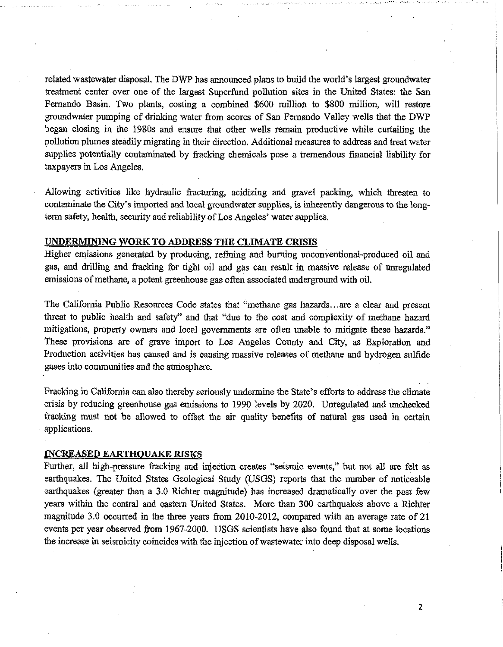related wastewater disposal. The DWP has announced plans to build the world's largest groundwater treatment center over one of the largest Superfund pollution sites in the United States: the San Fernando Basin. Two plants, costing a combined \$600 million to \$800 million, will restore groundwater pumping of drinking water from scores of San Fernando Valley wells that the DWP began closing in the 1980s and ensure that other wells remain productive while curtailing the pollution plumes steadily migrating in their direction. Additional measures to address and treat water supplies potentially contaminated by fracking chemicals pose a tremendous financial liability for taxpayers in Los Angeles.

Allowing activities like hydraulic fracturing, acidizing and gravel packing, which threaten to contaminate the City's imported and local groundwater supplies, is inherently dangerous to the longterm safety, health, security and reliability of Los Angeles' water supplies.

### UNDERMINING WORK TO ADDRESS THE CLIMATE CRISIS

Higher emissions generated by producing, refining and burning unconventional-produced oil and gas, and drilling and fracking for tight oil and gas can result in massive release of unregulated emissions of methane, a potent greenhouse gas often associated underground with oil.

The California Public Resources Code states that "methane gas hazards...are a clear and present threat to public health and safety" and that "due to the cost and complexity of methane hazard mitigations, property owners and local governments are often unable to mitigate these hazards." These provisions are of grave import to Los Angeles County and City, as Exploration and Production activities has caused and is causing massive releases of methane and hydrogen sulfide gases into communities and the atmosphere.

Fracking in California can. also thereby seriously undermine the State's efforts to address the climate crisis by reducing greenhouse gas emissions to 1990 levels by 2020. Unregulated and unchecked fracking must not be allowed to offset the air quality benefits of natural gas used in certain applications.

### INCREASED EARTHQUAKE RISKS

Further, all high-pressure fracking and injection creates "seismic events," but not all are felt as earthquakes. The United States Geological Study (USGS) reports that the number of noticeable earthquakes (greater than a 3.0 Richter magnitude) has increased dramatically over the past few years within the central and eastern United States. More than 300 earthquakes above a Richter magnitude 3.0 occurred in the three years from 2010-2012, compared with an average rate of 21 events per year observed from 1967-2000. USGS scientists have also found that at some locations the increase in seismicity coincides with the injection of wastewater into deep disposal wells.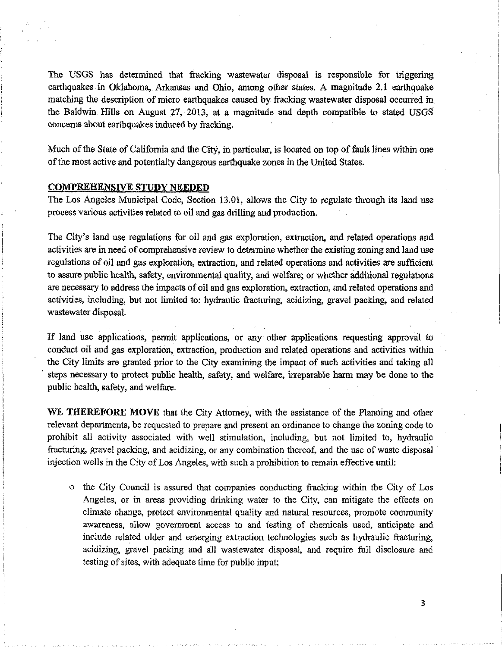The USGS has determined that fracking wastewater disposal is responsible for triggering earthquakes in Oklahoma, Arkansas and Ohio, among other states. A magnitude 2.1 earthquake matching the description of micro earthquakes caused by fracking wastewater disposal occurred in the Baldwin Hills on August 27, 2013, at a magnitude and depth compatible to stated USGS concerns about earthquakes induced by fracking.

Much of the State of California and the City, in particular, is located on top of fault lines within one ofthe most active and potentially dangerous earthquake zones in the United States.

#### COMPREHENSIVE STUDY NEEDED

The Los Angeles Municipal Code, Section 13.01, allows the City to regulate through its land use process various activities related to oil and gas drilling and production.

The City's land use regulations for oil and gas exploration, extraction, and related operations and activities are in need of comprehensive review to determine whether the existing zoning and land use regulations of oil and gas exploration, extraction, and related operations and activities are sufficient to assure public health, safety, environmental quality, and welfare; or whether additional regulations are necessary to address the impacts of oil and gas exploration, extraction, and related operations and activities, including, but not limited to: hydraulic fracturing, acidizing, gravel packing, and related wastewater disposal.

If land use applications, permit applications, or any other applications requesting approval to conduct oil and gas exploration, extraction, production and related operations and activities within the City limits are granted prior to the City examining the impact of such activities and taking all steps necessary to protect public health, safety, and welfare, irreparable harm may be done to the public health, safety, and welfare.

WE THEREFORE MOVE that the City Attorney, with the assistance of the Planning and other relevant departments, be requested to prepare and present an ordinance to change the zoning code to prohibit all activity associated with well stimulation, including, but not limited to, hydraulic fracturing, gravel packing, and acidizing, or any combination thereof, and the use ofwaste disposal injection wells in the City of Los Angeles, with such a prohibition to remain effective until:

o the City Council is assured that companies conducting fracking within the City of Los Angeles, or in areas providing drinking water to the City, can mitigate the effects on climate change, protect environmental quality and natural resources, promote community awareness, allow government access to and testing of chemicals used, anticipate and include related older and emerging extraction technologies such as hydraulic fracturing, acidizing, gravel packing and all wastewater disposal, and require full disclosure and testing of sites, with adequate time for public input;

3